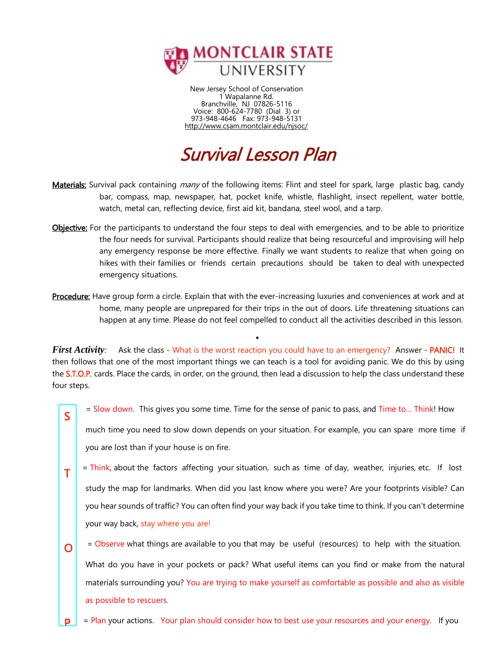

New Jersey School of Conservation 1 Wapalanne Rd. Branchville, NJ 07826-5116 Voice: 800-624-7780 (Dial 3) or 973-948-4646 Fax: 973-948-5131 <http://www.csam.montclair.edu/njsoc/>

# Survival Lesson Plan

- Materials: Survival pack containing *many* of the following items: Flint and steel for spark, large plastic bag, candy bar, compass, map, newspaper, hat, pocket knife, whistle, flashlight, insect repellent, water bottle, watch, metal can, reflecting device, first aid kit, bandana, steel wool, and a tarp.
- Objective: For the participants to understand the four steps to deal with emergencies, and to be able to prioritize the four needs for survival. Participants should realize that being resourceful and improvising will help any emergency response be more effective. Finally we want students to realize that when going on hikes with their families or friends certain precautions should be taken to deal with unexpected emergency situations.
- Procedure: Have group form a circle. Explain that with the ever-increasing luxuries and conveniences at work and at home, many people are unprepared for their trips in the out of doors. Life threatening situations can happen at any time. Please do not feel compelled to conduct all the activities described in this lesson.

◆

*First Activity:* Ask the class - What is the worst reaction you could have to an emergency? Answer - PANIC! It then follows that one of the most important things we can teach is a tool for avoiding panic. We do this by using the **S.T.O.P.** cards. Place the cards, in order, on the ground, then lead a discussion to help the class understand these four steps.

S

T

O

= Slow down. This gives you some time. Time for the sense of panic to pass, and Time to... Think! How

much time you need to slow down depends on your situation. For example, you can spare more time if you are lost than if your house is on fire.

- = Think, about the factors affecting your situation, such as time of day, weather, injuries, etc. If lost study the map for landmarks. When did you last know where you were? Are your footprints visible? Can you hear sounds of traffic? You can often find your way back if you take time to think. If you can't determine your way back, stay where you are!
	- = Observe what things are available to you that may be useful (resources) to help with the situation.

What do you have in your pockets or pack? What useful items can you find or make from the natural materials surrounding you? You are trying to make yourself as comfortable as possible and also as visible as possible to rescuers.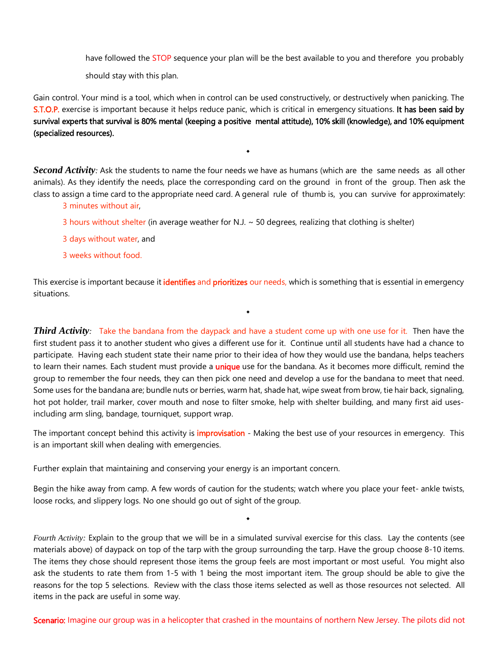have followed the STOP sequence your plan will be the best available to you and therefore you probably

should stay with this plan.

Gain control. Your mind is a tool, which when in control can be used constructively, or destructively when panicking. The S.T.O.P. exercise is important because it helps reduce panic, which is critical in emergency situations. It has been said by survival experts that survival is 80% mental (keeping a positive mental attitude), 10% skill (knowledge), and 10% equipment (specialized resources).

◆

*Second Activity:* Ask the students to name the four needs we have as humans (which are the same needs as all other animals). As they identify the needs, place the corresponding card on the ground in front of the group. Then ask the class to assign a time card to the appropriate need card. A general rule of thumb is, you can survive for approximately:

# 3 minutes without air,

- 3 hours without shelter (in average weather for N.J.  $\sim$  50 degrees, realizing that clothing is shelter)
- 3 days without water, and
- 3 weeks without food.

This exercise is important because it *identifies* and prioritizes our needs, which is something that is essential in emergency situations.

◆

*Third Activity:* Take the bandana from the daypack and have a student come up with one use for it. Then have the first student pass it to another student who gives a different use for it. Continue until all students have had a chance to participate. Having each student state their name prior to their idea of how they would use the bandana, helps teachers to learn their names. Each student must provide a **unique** use for the bandana. As it becomes more difficult, remind the group to remember the four needs, they can then pick one need and develop a use for the bandana to meet that need. Some uses for the bandana are; bundle nuts or berries, warm hat, shade hat, wipe sweat from brow, tie hair back, signaling, hot pot holder, trail marker, cover mouth and nose to filter smoke, help with shelter building, and many first aid usesincluding arm sling, bandage, tourniquet, support wrap.

The important concept behind this activity is *improvisation* - Making the best use of your resources in emergency. This is an important skill when dealing with emergencies.

Further explain that maintaining and conserving your energy is an important concern.

Begin the hike away from camp. A few words of caution for the students; watch where you place your feet- ankle twists, loose rocks, and slippery logs. No one should go out of sight of the group.

◆

*Fourth Activity:* Explain to the group that we will be in a simulated survival exercise for this class. Lay the contents (see materials above) of daypack on top of the tarp with the group surrounding the tarp. Have the group choose 8-10 items. The items they chose should represent those items the group feels are most important or most useful. You might also ask the students to rate them from 1-5 with 1 being the most important item. The group should be able to give the reasons for the top 5 selections. Review with the class those items selected as well as those resources not selected. All items in the pack are useful in some way.

Scenario: Imagine our group was in a helicopter that crashed in the mountains of northern New Jersey. The pilots did not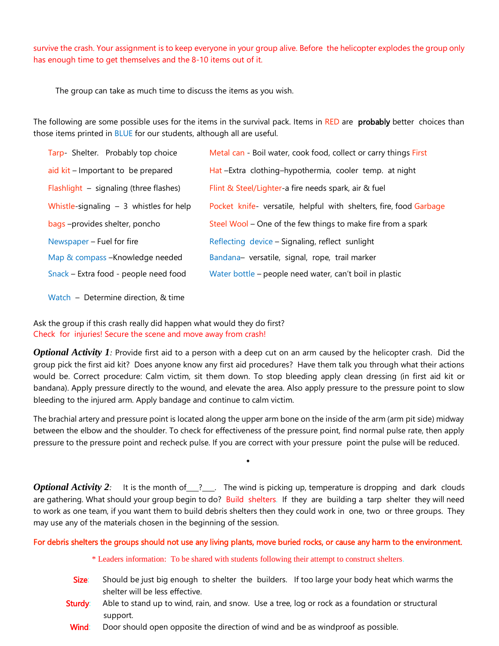survive the crash. Your assignment is to keep everyone in your group alive. Before the helicopter explodes the group only has enough time to get themselves and the 8-10 items out of it.

The group can take as much time to discuss the items as you wish.

The following are some possible uses for the items in the survival pack. Items in RED are **probably** better choices than those items printed in BLUE for our students, although all are useful.

| Tarp- Shelter. Probably top choice       | Metal can - Boil water, cook food, collect or carry things First   |
|------------------------------------------|--------------------------------------------------------------------|
| aid $kit$ – Important to be prepared     | Hat-Extra clothing-hypothermia, cooler temp. at night              |
| Flashlight - signaling (three flashes)   | Flint & Steel/Lighter-a fire needs spark, air & fuel               |
| Whistle-signaling $-3$ whistles for help | Pocket knife- versatile, helpful with shelters, fire, food Garbage |
| bags-provides shelter, poncho            | Steel Wool – One of the few things to make fire from a spark       |
|                                          |                                                                    |
| Newspaper – Fuel for fire                | Reflecting device - Signaling, reflect sunlight                    |
| Map & compass - Knowledge needed         | Bandana- versatile, signal, rope, trail marker                     |
| Snack – Extra food - people need food    | Water bottle - people need water, can't boil in plastic            |

Watch – Determine direction, & time

Ask the group if this crash really did happen what would they do first? Check for injuries! Secure the scene and move away from crash!

*Optional Activity 1:* Provide first aid to a person with a deep cut on an arm caused by the helicopter crash. Did the group pick the first aid kit? Does anyone know any first aid procedures? Have them talk you through what their actions would be. Correct procedure: Calm victim, sit them down. To stop bleeding apply clean dressing (in first aid kit or bandana). Apply pressure directly to the wound, and elevate the area. Also apply pressure to the pressure point to slow bleeding to the injured arm. Apply bandage and continue to calm victim.

The brachial artery and pressure point is located along the upper arm bone on the inside of the arm (arm pit side) midway between the elbow and the shoulder. To check for effectiveness of the pressure point, find normal pulse rate, then apply pressure to the pressure point and recheck pulse. If you are correct with your pressure point the pulse will be reduced.

◆

*Optional Activity 2*: It is the month of 2. Exteed the wind is picking up, temperature is dropping and dark clouds are gathering. What should your group begin to do? Build shelters. If they are building a tarp shelter they will need to work as one team, if you want them to build debris shelters then they could work in one, two or three groups. They may use any of the materials chosen in the beginning of the session.

#### For debris shelters the groups should not use any living plants, move buried rocks, or cause any harm to the environment.

\* Leaders information: To be shared with students following their attempt to construct shelters.

- Size: Should be just big enough to shelter the builders. If too large your body heat which warms the shelter will be less effective.
- Sturdy: Able to stand up to wind, rain, and snow. Use a tree, log or rock as a foundation or structural support.
- Wind: Door should open opposite the direction of wind and be as windproof as possible.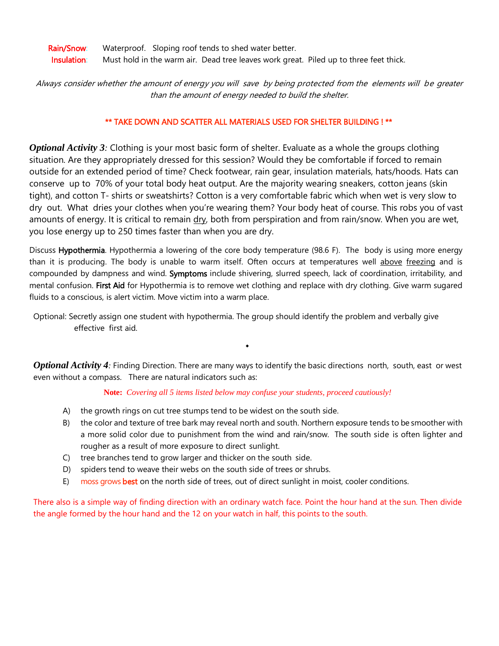Rain/Snow: Waterproof. Sloping roof tends to shed water better. Insulation: Must hold in the warm air. Dead tree leaves work great. Piled up to three feet thick.

Always consider whether the amount of energy you will save by being protected from the elements will be greater than the amount of energy needed to build the shelter.

### \*\* TAKE DOWN AND SCATTER ALL MATERIALS USED FOR SHELTER BUILDING ! \*\*

*Optional Activity 3:* Clothing is your most basic form of shelter. Evaluate as a whole the groups clothing situation. Are they appropriately dressed for this session? Would they be comfortable if forced to remain outside for an extended period of time? Check footwear, rain gear, insulation materials, hats/hoods. Hats can conserve up to 70% of your total body heat output. Are the majority wearing sneakers, cotton jeans (skin tight), and cotton T- shirts or sweatshirts? Cotton is a very comfortable fabric which when wet is very slow to dry out. What dries your clothes when you're wearing them? Your body heat of course. This robs you of vast amounts of energy. It is critical to remain dry, both from perspiration and from rain/snow. When you are wet, you lose energy up to 250 times faster than when you are dry.

Discuss Hypothermia. Hypothermia a lowering of the core body temperature (98.6 F). The body is using more energy than it is producing. The body is unable to warm itself. Often occurs at temperatures well above freezing and is compounded by dampness and wind. Symptoms include shivering, slurred speech, lack of coordination, irritability, and mental confusion. First Aid for Hypothermia is to remove wet clothing and replace with dry clothing. Give warm sugared fluids to a conscious, is alert victim. Move victim into a warm place.

Optional: Secretly assign one student with hypothermia. The group should identify the problem and verbally give effective first aid.

*Optional Activity 4:* Finding Direction. There are many ways to identify the basic directions north, south, east or west even without a compass. There are natural indicators such as:

◆

**Note:** *Covering all 5 items listed below may confuse your students, proceed cautiously!*

- A) the growth rings on cut tree stumps tend to be widest on the south side.
- B) the color and texture of tree bark may reveal north and south. Northern exposure tends to be smoother with a more solid color due to punishment from the wind and rain/snow. The south side is often lighter and rougher as a result of more exposure to direct sunlight.
- C) tree branches tend to grow larger and thicker on the south side.
- D) spiders tend to weave their webs on the south side of trees or shrubs.
- E) moss grows best on the north side of trees, out of direct sunlight in moist, cooler conditions.

There also is a simple way of finding direction with an ordinary watch face. Point the hour hand at the sun. Then divide the angle formed by the hour hand and the 12 on your watch in half, this points to the south.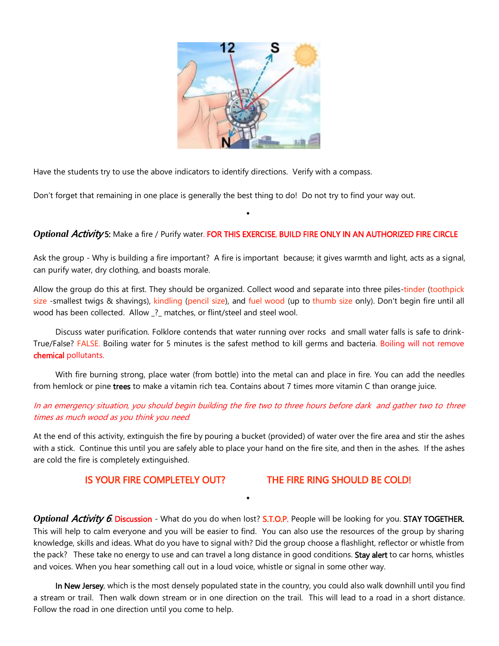

Have the students try to use the above indicators to identify directions. Verify with a compass.

Don't forget that remaining in one place is generally the best thing to do! Do not try to find your way out.

### *Optional* Activity 5: Make a fire / Purify water. FOR THIS EXERCISE, BUILD FIRE ONLY IN AN AUTHORIZED FIRE CIRCLE

◆

Ask the group - Why is building a fire important? A fire is important because; it gives warmth and light, acts as a signal, can purify water, dry clothing, and boasts morale.

Allow the group do this at first. They should be organized. Collect wood and separate into three piles-tinder (toothpick size -smallest twigs & shavings), kindling (pencil size), and fuel wood (up to thumb size only). Don't begin fire until all wood has been collected. Allow \_?\_ matches, or flint/steel and steel wool.

Discuss water purification. Folklore contends that water running over rocks and small water falls is safe to drink-True/False? FALSE. Boiling water for 5 minutes is the safest method to kill germs and bacteria. Boiling will not remove chemical pollutants.

With fire burning strong, place water (from bottle) into the metal can and place in fire. You can add the needles from hemlock or pine trees to make a vitamin rich tea. Contains about 7 times more vitamin C than orange juice.

## In an emergency situation, you should begin building the fire two to three hours before dark and gather two to three times as much wood as you think you need.

At the end of this activity, extinguish the fire by pouring a bucket (provided) of water over the fire area and stir the ashes with a stick. Continue this until you are safely able to place your hand on the fire site, and then in the ashes. If the ashes are cold the fire is completely extinguished.

IS YOUR FIRE COMPLETELY OUT? THE FIRE RING SHOULD BE COLD!

*Optional Activity 6.* **Discussion** - What do you do when lost? S.T.O.P. People will be looking for you. STAY TOGETHER. This will help to calm everyone and you will be easier to find. You can also use the resources of the group by sharing knowledge, skills and ideas. What do you have to signal with? Did the group choose a flashlight, reflector or whistle from the pack? These take no energy to use and can travel a long distance in good conditions. Stay alert to car horns, whistles and voices. When you hear something call out in a loud voice, whistle or signal in some other way.

◆

In New Jersey, which is the most densely populated state in the country, you could also walk downhill until you find a stream or trail. Then walk down stream or in one direction on the trail. This will lead to a road in a short distance. Follow the road in one direction until you come to help.